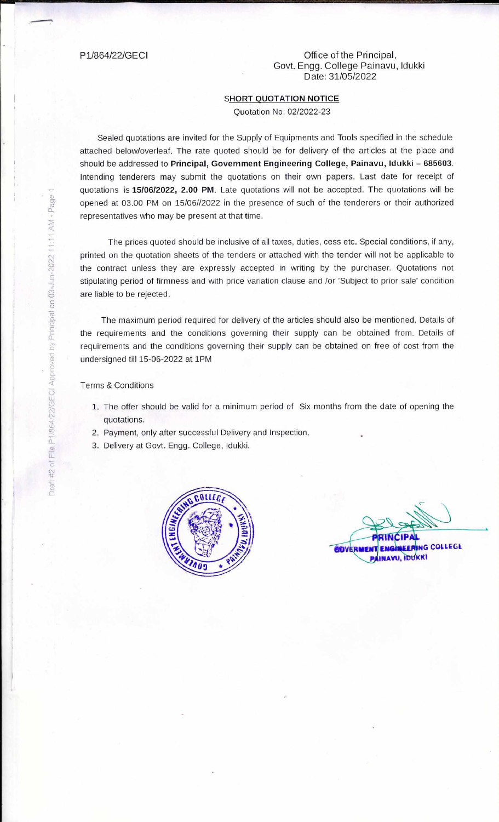## P1/864/22/GECI Office of the Principal, Govt. Engg. College Painavu, Idukki Date: 31/05/2022

## SHORT QUOTATION NOTICE

Quotation No: 02/2022-23

Sealed quotations are invited for the Supply of Equipments and Tools specified in the schedule attached below/overleaf. The rate quoted should be for delivery of the articles at the place and should be addressed to **Principal, Government Engineering College, Painavu, Idukki - 685603.**  Intending tenderers may submit the quotations on their own papers. Last date for receipt of quotations is **15106/2022, 2.00 PM.** Late quotations will not be accepted. The quotations will he opened at 03.00 PM on 15/06//2022 in the presence of such of the tenderers or their authorized representatives who may be present at that time.

The prices quoted should be inclusive of all taxes, duties, cess etc. Special conditions, if any, printed on the quotation sheets of the tenders or attached with the tender will not be applicable to the contract unless they are expressly accepted in writing by the purchaser. Quotations not stipulating period of firmness and with price variation clause and /or 'Subject to prior sale' condition are liable to be rejected.

The maximum period required for delivery of the articles should also be mentioned. Details of the requirements and the conditions governing their supply can he obtained from. Details of requirements and the conditions governing their supply can be obtained on free of cost from the undersigned till 15-06-2022 at 1PM

## Terms & Conditions

- 1. The offer should be valid for a minimum period of Six months from the date of opening the quotations.
- 2. Payment, only after successful Delivery and Inspection.
- 3. Delivery at Govt. Engg. College, Idukki.



**NG COLLEGE** AVU, IDUKKI